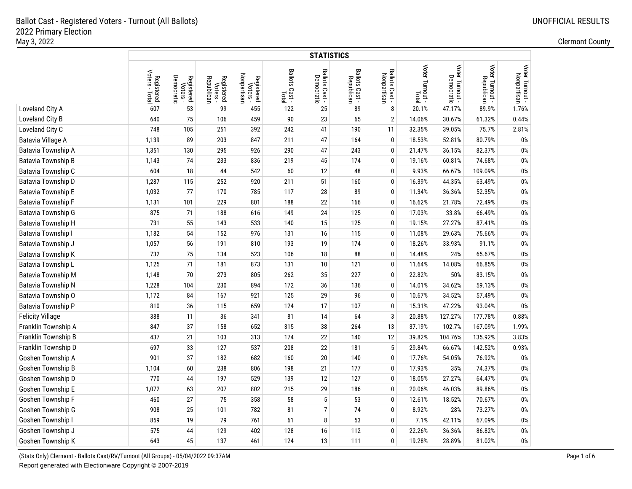|                           |                                       | <b>STATISTICS</b>                    |                                      |                                       |                         |                              |                              |                               |                          |                 |                               |                                |  |  |
|---------------------------|---------------------------------------|--------------------------------------|--------------------------------------|---------------------------------------|-------------------------|------------------------------|------------------------------|-------------------------------|--------------------------|-----------------|-------------------------------|--------------------------------|--|--|
|                           | Voters<br>Registered<br>oters - Total | Democratic<br>Registered<br>Voters - | Registered<br>Voters -<br>Republican | Nonpartisan<br>Registered<br>Voters - | Ballots Cast -<br>Total | Ballots Cast -<br>Democratic | Ballots Cast -<br>Republican | Ballots Cast -<br>Nonpartisan | Voter Turnout -<br>Total | Voter Turnout - | Voter Turnout -<br>Republican | Voter Turnout -<br>Nonpartisan |  |  |
| Loveland City A           | 607                                   | 53                                   | 99                                   | 455                                   | 122                     | 25                           | 89                           | 8                             | 20.1%                    | 47.17%          | 89.9%                         | 1.76%                          |  |  |
| Loveland City B           | 640                                   | 75                                   | 106                                  | 459                                   | $90\,$                  | 23                           | 65                           | $\overline{2}$                | 14.06%                   | 30.67%          | 61.32%                        | 0.44%                          |  |  |
| Loveland City C           | 748                                   | 105                                  | 251                                  | 392                                   | 242                     | 41                           | 190                          | 11                            | 32.35%                   | 39.05%          | 75.7%                         | 2.81%                          |  |  |
| Batavia Village A         | 1,139                                 | 89                                   | 203                                  | 847                                   | 211                     | 47                           | 164                          | 0                             | 18.53%                   | 52.81%          | 80.79%                        | 0%                             |  |  |
| Batavia Township A        | 1,351                                 | 130                                  | 295                                  | 926                                   | 290                     | 47                           | 243                          | 0                             | 21.47%                   | 36.15%          | 82.37%                        | $0\%$                          |  |  |
| Batavia Township B        | 1,143                                 | 74                                   | 233                                  | 836                                   | 219                     | 45                           | 174                          | 0                             | 19.16%                   | 60.81%          | 74.68%                        | $0\%$                          |  |  |
| Batavia Township C        | 604                                   | 18                                   | 44                                   | 542                                   | 60                      | 12                           | 48                           | $\mathbf{0}$                  | 9.93%                    | 66.67%          | 109.09%                       | 0%                             |  |  |
| Batavia Township D        | 1,287                                 | 115                                  | 252                                  | 920                                   | 211                     | 51                           | 160                          | 0                             | 16.39%                   | 44.35%          | 63.49%                        | 0%                             |  |  |
| <b>Batavia Township E</b> | 1,032                                 | 77                                   | 170                                  | 785                                   | 117                     | 28                           | 89                           | $\mathbf 0$                   | 11.34%                   | 36.36%          | 52.35%                        | 0%                             |  |  |
| Batavia Township F        | 1,131                                 | 101                                  | 229                                  | 801                                   | 188                     | 22                           | 166                          | $\mathbf 0$                   | 16.62%                   | 21.78%          | 72.49%                        | 0%                             |  |  |
| Batavia Township G        | 875                                   | 71                                   | 188                                  | 616                                   | 149                     | 24                           | 125                          | 0                             | 17.03%                   | 33.8%           | 66.49%                        | 0%                             |  |  |
| Batavia Township H        | 731                                   | 55                                   | 143                                  | 533                                   | 140                     | 15                           | 125                          | $\mathbf 0$                   | 19.15%                   | 27.27%          | 87.41%                        | 0%                             |  |  |
| Batavia Township I        | 1,182                                 | 54                                   | 152                                  | 976                                   | 131                     | 16                           | 115                          | $\boldsymbol{0}$              | 11.08%                   | 29.63%          | 75.66%                        | $0\%$                          |  |  |
| Batavia Township J        | 1,057                                 | 56                                   | 191                                  | 810                                   | 193                     | 19                           | 174                          | $\mathbf 0$                   | 18.26%                   | 33.93%          | 91.1%                         | $0\%$                          |  |  |
| Batavia Township K        | 732                                   | 75                                   | 134                                  | 523                                   | 106                     | 18                           | 88                           | $\mathbf 0$                   | 14.48%                   | 24%             | 65.67%                        | $0\%$                          |  |  |
| Batavia Township L        | 1,125                                 | 71                                   | 181                                  | 873                                   | 131                     | 10                           | 121                          | $\mathbf{0}$                  | 11.64%                   | 14.08%          | 66.85%                        | $0\%$                          |  |  |
| <b>Batavia Township M</b> | 1,148                                 | 70                                   | 273                                  | 805                                   | 262                     | 35                           | 227                          | $\mathbf{0}$                  | 22.82%                   | 50%             | 83.15%                        | $0\%$                          |  |  |
| Batavia Township N        | 1,228                                 | 104                                  | 230                                  | 894                                   | 172                     | 36                           | 136                          | $\mathbf 0$                   | 14.01%                   | 34.62%          | 59.13%                        | 0%                             |  |  |
| Batavia Township O        | 1,172                                 | 84                                   | 167                                  | 921                                   | 125                     | 29                           | 96                           | $\mathbf 0$                   | 10.67%                   | 34.52%          | 57.49%                        | 0%                             |  |  |
| Batavia Township P        | 810                                   | 36                                   | 115                                  | 659                                   | 124                     | 17                           | 107                          | $\mathbf 0$                   | 15.31%                   | 47.22%          | 93.04%                        | 0%                             |  |  |
| <b>Felicity Village</b>   | 388                                   | 11                                   | 36                                   | 341                                   | 81                      | 14                           | 64                           | 3                             | 20.88%                   | 127.27%         | 177.78%                       | 0.88%                          |  |  |
| Franklin Township A       | 847                                   | 37                                   | 158                                  | 652                                   | 315                     | 38                           | 264                          | 13                            | 37.19%                   | 102.7%          | 167.09%                       | 1.99%                          |  |  |
| Franklin Township B       | 437                                   | 21                                   | 103                                  | 313                                   | 174                     | 22                           | 140                          | 12                            | 39.82%                   | 104.76%         | 135.92%                       | 3.83%                          |  |  |
| Franklin Township D       | 697                                   | 33                                   | 127                                  | 537                                   | 208                     | 22                           | 181                          | 5                             | 29.84%                   | 66.67%          | 142.52%                       | 0.93%                          |  |  |
| Goshen Township A         | 901                                   | 37                                   | 182                                  | 682                                   | 160                     | 20                           | 140                          | $\mathbf 0$                   | 17.76%                   | 54.05%          | 76.92%                        | 0%                             |  |  |
| Goshen Township B         | 1,104                                 | 60                                   | 238                                  | 806                                   | 198                     | 21                           | 177                          | $\mathbf 0$                   | 17.93%                   | 35%             | 74.37%                        | 0%                             |  |  |
| Goshen Township D         | 770                                   | 44                                   | 197                                  | 529                                   | 139                     | 12                           | 127                          | 0                             | 18.05%                   | 27.27%          | 64.47%                        | 0%                             |  |  |
| Goshen Township E         | 1,072                                 | 63                                   | 207                                  | 802                                   | 215                     | 29                           | 186                          | $\mathbf 0$                   | 20.06%                   | 46.03%          | 89.86%                        | 0%                             |  |  |
| Goshen Township F         | 460                                   | 27                                   | 75                                   | 358                                   | 58                      | 5                            | 53                           | $\mathbf 0$                   | 12.61%                   | 18.52%          | 70.67%                        | 0%                             |  |  |
| Goshen Township G         | 908                                   | 25                                   | 101                                  | 782                                   | 81                      | 7                            | 74                           | 0                             | 8.92%                    | 28%             | 73.27%                        | 0%                             |  |  |
| Goshen Township I         | 859                                   | 19                                   | 79                                   | 761                                   | 61                      | 8                            | 53                           | 0                             | 7.1%                     | 42.11%          | 67.09%                        | 0%                             |  |  |
| Goshen Township J         | 575                                   | 44                                   | 129                                  | 402                                   | 128                     | 16                           | 112                          | $\boldsymbol{0}$              | 22.26%                   | 36.36%          | 86.82%                        | 0%                             |  |  |
| Goshen Township K         | 643                                   | 45                                   | 137                                  | 461                                   | 124                     | 13                           | 111                          | $\mathbf{0}$                  | 19.28%                   | 28.89%          | 81.02%                        | 0%                             |  |  |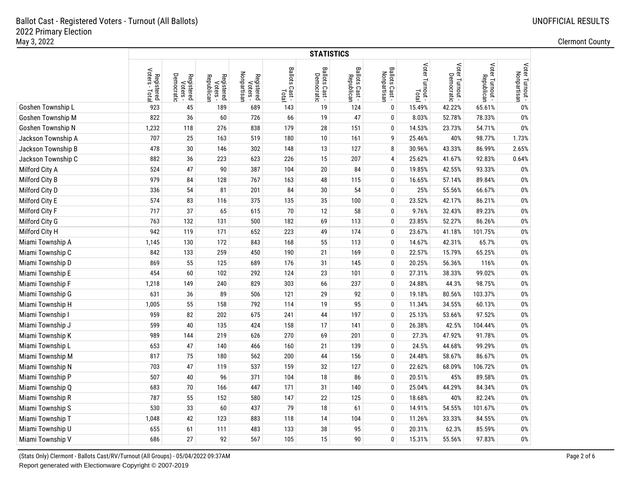|                    |                                         | <b>STATISTICS</b>                    |                                      |                                       |                         |                              |                              |                               |                          |                 |                               |                                |  |  |
|--------------------|-----------------------------------------|--------------------------------------|--------------------------------------|---------------------------------------|-------------------------|------------------------------|------------------------------|-------------------------------|--------------------------|-----------------|-------------------------------|--------------------------------|--|--|
|                    | Voters -<br>Registered<br>oters - Total | Democratic<br>Registered<br>Voters - | Registered<br>Voters -<br>Republican | Nonpartisan<br>Registered<br>Voters - | Ballots Cast -<br>Total | Ballots Cast -<br>Democratic | Ballots Cast -<br>Republican | Ballots Cast -<br>Nonpartisan | Voter Turnout -<br>Total | Voter Turnout - | Voter Turnout -<br>Republican | Voter Turnout -<br>Nonpartisan |  |  |
| Goshen Township L  | 923                                     | 45                                   | 189                                  | 689                                   | 143                     | 19                           | 124                          | $\mathbf 0$                   | 15.49%                   | 42.22%          | 65.61%                        | 0%                             |  |  |
| Goshen Township M  | 822                                     | 36                                   | 60                                   | 726                                   | 66                      | 19                           | 47                           | $\mathbf 0$                   | 8.03%                    | 52.78%          | 78.33%                        | $0\%$                          |  |  |
| Goshen Township N  | 1,232                                   | 118                                  | 276                                  | 838                                   | 179                     | 28                           | 151                          | 0                             | 14.53%                   | 23.73%          | 54.71%                        | $0\%$                          |  |  |
| Jackson Township A | 707                                     | 25                                   | 163                                  | 519                                   | 180                     | 10                           | 161                          | 9                             | 25.46%                   | 40%             | 98.77%                        | 1.73%                          |  |  |
| Jackson Township B | 478                                     | $30\,$                               | 146                                  | 302                                   | 148                     | 13                           | 127                          | 8                             | 30.96%                   | 43.33%          | 86.99%                        | 2.65%                          |  |  |
| Jackson Township C | 882                                     | 36                                   | 223                                  | 623                                   | 226                     | 15                           | 207                          | 4                             | 25.62%                   | 41.67%          | 92.83%                        | 0.64%                          |  |  |
| Milford City A     | 524                                     | 47                                   | 90                                   | 387                                   | 104                     | 20                           | 84                           | 0                             | 19.85%                   | 42.55%          | 93.33%                        | 0%                             |  |  |
| Milford City B     | 979                                     | 84                                   | 128                                  | 767                                   | 163                     | 48                           | 115                          | 0                             | 16.65%                   | 57.14%          | 89.84%                        | $0\%$                          |  |  |
| Milford City D     | 336                                     | 54                                   | 81                                   | 201                                   | 84                      | 30                           | 54                           | 0                             | 25%                      | 55.56%          | 66.67%                        | $0\%$                          |  |  |
| Milford City E     | 574                                     | 83                                   | 116                                  | 375                                   | 135                     | 35                           | 100                          | 0                             | 23.52%                   | 42.17%          | 86.21%                        | $0\%$                          |  |  |
| Milford City F     | 717                                     | 37                                   | 65                                   | 615                                   | 70                      | 12                           | 58                           | 0                             | 9.76%                    | 32.43%          | 89.23%                        | $0\%$                          |  |  |
| Milford City G     | 763                                     | 132                                  | 131                                  | 500                                   | 182                     | 69                           | 113                          | 0                             | 23.85%                   | 52.27%          | 86.26%                        | $0\%$                          |  |  |
| Milford City H     | 942                                     | 119                                  | 171                                  | 652                                   | 223                     | 49                           | 174                          | 0                             | 23.67%                   | 41.18%          | 101.75%                       | $0\%$                          |  |  |
| Miami Township A   | 1,145                                   | 130                                  | 172                                  | 843                                   | 168                     | 55                           | 113                          | 0                             | 14.67%                   | 42.31%          | 65.7%                         | $0\%$                          |  |  |
| Miami Township C   | 842                                     | 133                                  | 259                                  | 450                                   | 190                     | 21                           | 169                          | 0                             | 22.57%                   | 15.79%          | 65.25%                        | $0\%$                          |  |  |
| Miami Township D   | 869                                     | 55                                   | 125                                  | 689                                   | 176                     | 31                           | 145                          | 0                             | 20.25%                   | 56.36%          | 116%                          | $0\%$                          |  |  |
| Miami Township E   | 454                                     | 60                                   | 102                                  | 292                                   | 124                     | 23                           | 101                          | 0                             | 27.31%                   | 38.33%          | 99.02%                        | $0\%$                          |  |  |
| Miami Township F   | 1,218                                   | 149                                  | 240                                  | 829                                   | 303                     | 66                           | 237                          | 0                             | 24.88%                   | 44.3%           | 98.75%                        | $0\%$                          |  |  |
| Miami Township G   | 631                                     | 36                                   | 89                                   | 506                                   | 121                     | 29                           | 92                           | $\mathbf 0$                   | 19.18%                   | 80.56%          | 103.37%                       | $0\%$                          |  |  |
| Miami Township H   | 1,005                                   | 55                                   | 158                                  | 792                                   | 114                     | 19                           | 95                           | $\mathbf 0$                   | 11.34%                   | 34.55%          | 60.13%                        | $0\%$                          |  |  |
| Miami Township I   | 959                                     | 82                                   | 202                                  | 675                                   | 241                     | 44                           | 197                          | 0                             | 25.13%                   | 53.66%          | 97.52%                        | $0\%$                          |  |  |
| Miami Township J   | 599                                     | $40\,$                               | 135                                  | 424                                   | 158                     | 17                           | 141                          | 0                             | 26.38%                   | 42.5%           | 104.44%                       | $0\%$                          |  |  |
| Miami Township K   | 989                                     | 144                                  | 219                                  | 626                                   | 270                     | 69                           | 201                          | 0                             | 27.3%                    | 47.92%          | 91.78%                        | $0\%$                          |  |  |
| Miami Township L   | 653                                     | 47                                   | 140                                  | 466                                   | 160                     | 21                           | 139                          | 0                             | 24.5%                    | 44.68%          | 99.29%                        | $0\%$                          |  |  |
| Miami Township M   | 817                                     | 75                                   | 180                                  | 562                                   | 200                     | 44                           | 156                          | 0                             | 24.48%                   | 58.67%          | 86.67%                        | $0\%$                          |  |  |
| Miami Township N   | 703                                     | 47                                   | 119                                  | 537                                   | 159                     | 32                           | 127                          | 0                             | 22.62%                   | 68.09%          | 106.72%                       | $0\%$                          |  |  |
| Miami Township P   | 507                                     | $40\,$                               | 96                                   | 371                                   | 104                     | 18                           | 86                           | 0                             | 20.51%                   | 45%             | 89.58%                        | $0\%$                          |  |  |
| Miami Township Q   | 683                                     | 70                                   | 166                                  | 447                                   | 171                     | 31                           | 140                          | 0                             | 25.04%                   | 44.29%          | 84.34%                        | $0\%$                          |  |  |
| Miami Township R   | 787                                     | 55                                   | 152                                  | 580                                   | 147                     | 22                           | 125                          | 0                             | 18.68%                   | 40%             | 82.24%                        | $0\%$                          |  |  |
| Miami Township S   | 530                                     | 33                                   | 60                                   | 437                                   | 79                      | 18                           | 61                           | 0                             | 14.91%                   | 54.55%          | 101.67%                       | $0\%$                          |  |  |
| Miami Township T   | 1,048                                   | 42                                   | 123                                  | 883                                   | 118                     | 14                           | 104                          | $\pmb{0}$                     | 11.26%                   | 33.33%          | 84.55%                        | $0\%$                          |  |  |
| Miami Township U   | 655                                     | 61                                   | 111                                  | 483                                   | 133                     | 38                           | 95                           | 0                             | 20.31%                   | 62.3%           | 85.59%                        | $0\%$                          |  |  |
| Miami Township V   | 686                                     | 27                                   | 92                                   | 567                                   | 105                     | 15                           | 90                           | $\mathbf{0}$                  | 15.31%                   | 55.56%          | 97.83%                        | 0%                             |  |  |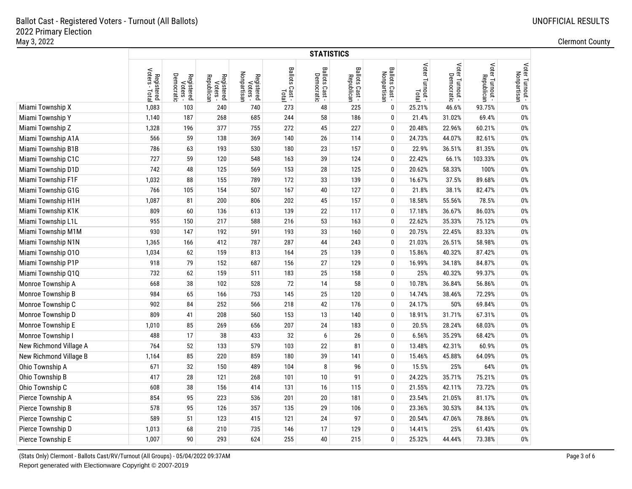|                        |                              | <b>STATISTICS</b>                    |                                      |                                       |                         |                              |                              |                               |                          |                               |                               |                                |  |  |
|------------------------|------------------------------|--------------------------------------|--------------------------------------|---------------------------------------|-------------------------|------------------------------|------------------------------|-------------------------------|--------------------------|-------------------------------|-------------------------------|--------------------------------|--|--|
|                        | Registered<br>Voters - Total | Democratic<br>Registered<br>Voters - | Registered<br>Voters -<br>Republican | Nonpartisan<br>Registered<br>Voters - | Ballots Cast -<br>Total | Ballots Cast -<br>Democratic | Ballots Cast -<br>Republican | Ballots Cast -<br>Nonpartisan | Voter Turnout -<br>Total | Voter Turnout -<br>Democratic | Voter Turnout -<br>Republican | Voter Turnout -<br>Nonpartisan |  |  |
| Miami Township X       | 1,083                        | 103                                  | 240                                  | 740                                   | 273                     | 48                           | 225                          | $\mathbf 0$                   | 25.21%                   | 46.6%                         | 93.75%                        | 0%                             |  |  |
| Miami Township Y       | 1,140                        | 187                                  | 268                                  | 685                                   | 244                     | 58                           | 186                          | $\mathbf 0$                   | 21.4%                    | 31.02%                        | 69.4%                         | 0%                             |  |  |
| Miami Township Z       | 1,328                        | 196                                  | 377                                  | 755                                   | 272                     | 45                           | 227                          | $\mathbf 0$                   | 20.48%                   | 22.96%                        | 60.21%                        | $0\%$                          |  |  |
| Miami Township A1A     | 566                          | 59                                   | 138                                  | 369                                   | 140                     | 26                           | 114                          | 0                             | 24.73%                   | 44.07%                        | 82.61%                        | $0\%$                          |  |  |
| Miami Township B1B     | 786                          | 63                                   | 193                                  | 530                                   | 180                     | 23                           | 157                          | 0                             | 22.9%                    | 36.51%                        | 81.35%                        | $0\%$                          |  |  |
| Miami Township C1C     | 727                          | 59                                   | 120                                  | 548                                   | 163                     | 39                           | 124                          | $\pmb{0}$                     | 22.42%                   | 66.1%                         | 103.33%                       | $0\%$                          |  |  |
| Miami Township D1D     | 742                          | 48                                   | 125                                  | 569                                   | 153                     | 28                           | 125                          | $\mathbf 0$                   | 20.62%                   | 58.33%                        | 100%                          | $0\%$                          |  |  |
| Miami Township F1F     | 1,032                        | 88                                   | 155                                  | 789                                   | 172                     | 33                           | 139                          | $\mathbf 0$                   | 16.67%                   | 37.5%                         | 89.68%                        | $0\%$                          |  |  |
| Miami Township G1G     | 766                          | 105                                  | 154                                  | 507                                   | 167                     | 40                           | 127                          | 0                             | 21.8%                    | 38.1%                         | 82.47%                        | $0\%$                          |  |  |
| Miami Township H1H     | 1,087                        | 81                                   | 200                                  | 806                                   | 202                     | 45                           | 157                          | $\mathbf 0$                   | 18.58%                   | 55.56%                        | 78.5%                         | $0\%$                          |  |  |
| Miami Township K1K     | 809                          | 60                                   | 136                                  | 613                                   | 139                     | 22                           | 117                          | $\mathbf 0$                   | 17.18%                   | 36.67%                        | 86.03%                        | $0\%$                          |  |  |
| Miami Township L1L     | 955                          | 150                                  | 217                                  | 588                                   | 216                     | 53                           | 163                          | 0                             | 22.62%                   | 35.33%                        | 75.12%                        | $0\%$                          |  |  |
| Miami Township M1M     | 930                          | 147                                  | 192                                  | 591                                   | 193                     | 33                           | 160                          | 0                             | 20.75%                   | 22.45%                        | 83.33%                        | 0%                             |  |  |
| Miami Township N1N     | 1,365                        | 166                                  | 412                                  | 787                                   | 287                     | 44                           | 243                          | $\mathbf 0$                   | 21.03%                   | 26.51%                        | 58.98%                        | 0%                             |  |  |
| Miami Township 010     | 1,034                        | 62                                   | 159                                  | 813                                   | 164                     | 25                           | 139                          | $\mathbf 0$                   | 15.86%                   | 40.32%                        | 87.42%                        | $0\%$                          |  |  |
| Miami Township P1P     | 918                          | 79                                   | 152                                  | 687                                   | 156                     | 27                           | 129                          | $\mathbf 0$                   | 16.99%                   | 34.18%                        | 84.87%                        | $0\%$                          |  |  |
| Miami Township Q1Q     | 732                          | 62                                   | 159                                  | 511                                   | 183                     | 25                           | 158                          | $\mathbf 0$                   | 25%                      | 40.32%                        | 99.37%                        | $0\%$                          |  |  |
| Monroe Township A      | 668                          | 38                                   | 102                                  | 528                                   | 72                      | 14                           | 58                           | $\mathbf{0}$                  | 10.78%                   | 36.84%                        | 56.86%                        | $0\%$                          |  |  |
| Monroe Township B      | 984                          | 65                                   | 166                                  | 753                                   | 145                     | 25                           | 120                          | $\mathbf{0}$                  | 14.74%                   | 38.46%                        | 72.29%                        | $0\%$                          |  |  |
| Monroe Township C      | 902                          | 84                                   | 252                                  | 566                                   | 218                     | 42                           | 176                          | $\mathbf{0}$                  | 24.17%                   | 50%                           | 69.84%                        | $0\%$                          |  |  |
| Monroe Township D      | 809                          | 41                                   | 208                                  | 560                                   | 153                     | 13                           | 140                          | $\mathbf{0}$                  | 18.91%                   | 31.71%                        | 67.31%                        | 0%                             |  |  |
| Monroe Township E      | 1,010                        | 85                                   | 269                                  | 656                                   | 207                     | 24                           | 183                          | $\mathbf 0$                   | 20.5%                    | 28.24%                        | 68.03%                        | 0%                             |  |  |
| Monroe Township I      | 488                          | 17                                   | 38                                   | 433                                   | 32                      | 6                            | 26                           | $\mathbf 0$                   | 6.56%                    | 35.29%                        | 68.42%                        | $0\%$                          |  |  |
| New Richmond Village A | 764                          | 52                                   | 133                                  | 579                                   | 103                     | 22                           | 81                           | $\mathbf 0$                   | 13.48%                   | 42.31%                        | 60.9%                         | $0\%$                          |  |  |
| New Richmond Village B | 1,164                        | 85                                   | 220                                  | 859                                   | 180                     | 39                           | 141                          | $\mathbf 0$                   | 15.46%                   | 45.88%                        | 64.09%                        | $0\%$                          |  |  |
| Ohio Township A        | 671                          | 32                                   | 150                                  | 489                                   | 104                     | 8                            | 96                           | $\mathbf 0$                   | 15.5%                    | 25%                           | 64%                           | $0\%$                          |  |  |
| Ohio Township B        | 417                          | 28                                   | 121                                  | 268                                   | 101                     | 10                           | 91                           | $\mathbf{0}$                  | 24.22%                   | 35.71%                        | 75.21%                        | 0%                             |  |  |
| Ohio Township C        | 608                          | 38                                   | 156                                  | 414                                   | 131                     | 16                           | 115                          | $\mathbf{0}$                  | 21.55%                   | 42.11%                        | 73.72%                        | 0%                             |  |  |
| Pierce Township A      | 854                          | 95                                   | 223                                  | 536                                   | 201                     | 20                           | 181                          | $\mathbf 0$                   | 23.54%                   | 21.05%                        | 81.17%                        | 0%                             |  |  |
| Pierce Township B      | 578                          | 95                                   | 126                                  | 357                                   | 135                     | 29                           | 106                          | $\mathbf 0$                   | 23.36%                   | 30.53%                        | 84.13%                        | 0%                             |  |  |
| Pierce Township C      | 589                          | 51                                   | 123                                  | 415                                   | 121                     | 24                           | 97                           | $\mathbf 0$                   | 20.54%                   | 47.06%                        | 78.86%                        | $0\%$                          |  |  |
| Pierce Township D      | 1,013                        | 68                                   | 210                                  | 735                                   | 146                     | 17                           | 129                          | $\mathbf 0$                   | 14.41%                   | 25%                           | 61.43%                        | $0\%$                          |  |  |
| Pierce Township E      | 1,007                        | 90                                   | 293                                  | 624                                   | 255                     | 40                           | 215                          | $\mathbf{0}$                  | 25.32%                   | 44.44%                        | 73.38%                        | 0%                             |  |  |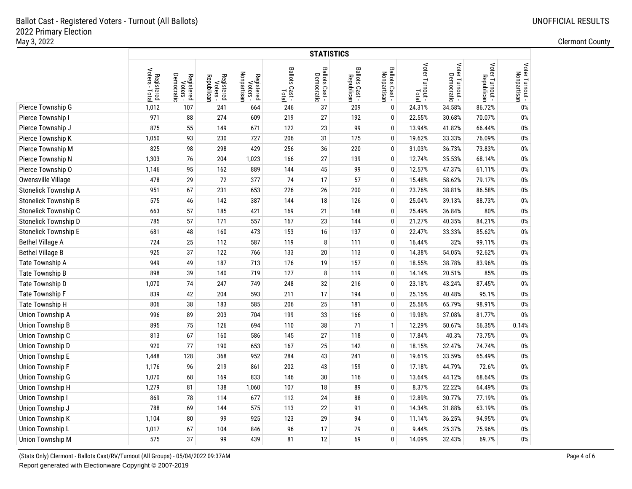|                             |                              | <b>STATISTICS</b>                    |                                      |                                       |                         |                              |                              |                               |                          |                               |                               |                                |  |  |
|-----------------------------|------------------------------|--------------------------------------|--------------------------------------|---------------------------------------|-------------------------|------------------------------|------------------------------|-------------------------------|--------------------------|-------------------------------|-------------------------------|--------------------------------|--|--|
|                             | Registered<br>Voters - Total | Democratic<br>Registered<br>Voters - | Registered<br>Voters -<br>Republican | Nonpartisan<br>Registered<br>Voters - | Ballots Cast -<br>Total | Ballots Cast -<br>Democratic | Ballots Cast -<br>Republican | Ballots Cast -<br>Nonpartisan | Voter Turnout -<br>Total | Voter Turnout -<br>Democratic | Voter Turnout -<br>Republican | Voter Turnout -<br>Nonpartisan |  |  |
| Pierce Township G           | 1,012                        | 107                                  | 241                                  | 664                                   | 246                     | 37                           | 209                          | $\mathbf 0$                   | 24.31%                   | 34.58%                        | 86.72%                        | 0%                             |  |  |
| Pierce Township I           | 971                          | 88                                   | 274                                  | 609                                   | 219                     | 27                           | 192                          | $\mathbf 0$                   | 22.55%                   | 30.68%                        | 70.07%                        | $0\%$                          |  |  |
| Pierce Township J           | 875                          | 55                                   | 149                                  | 671                                   | 122                     | 23                           | 99                           | 0                             | 13.94%                   | 41.82%                        | 66.44%                        | $0\%$                          |  |  |
| Pierce Township K           | 1,050                        | 93                                   | 230                                  | 727                                   | 206                     | 31                           | 175                          | $\mathbf 0$                   | 19.62%                   | 33.33%                        | 76.09%                        | $0\%$                          |  |  |
| Pierce Township M           | 825                          | 98                                   | 298                                  | 429                                   | 256                     | 36                           | 220                          | 0                             | 31.03%                   | 36.73%                        | 73.83%                        | $0\%$                          |  |  |
| Pierce Township N           | 1,303                        | 76                                   | 204                                  | 1,023                                 | 166                     | 27                           | 139                          | $\mathbf 0$                   | 12.74%                   | 35.53%                        | 68.14%                        | $0\%$                          |  |  |
| Pierce Township O           | 1,146                        | 95                                   | 162                                  | 889                                   | 144                     | 45                           | 99                           | $\mathbf 0$                   | 12.57%                   | 47.37%                        | 61.11%                        | $0\%$                          |  |  |
| Owensville Village          | 478                          | 29                                   | 72                                   | 377                                   | 74                      | 17                           | 57                           | $\mathbf 0$                   | 15.48%                   | 58.62%                        | 79.17%                        | $0\%$                          |  |  |
| Stonelick Township A        | 951                          | 67                                   | 231                                  | 653                                   | 226                     | 26                           | 200                          | $\mathbf 0$                   | 23.76%                   | 38.81%                        | 86.58%                        | $0\%$                          |  |  |
| <b>Stonelick Township B</b> | 575                          | 46                                   | 142                                  | 387                                   | 144                     | 18                           | 126                          | $\mathbf 0$                   | 25.04%                   | 39.13%                        | 88.73%                        | $0\%$                          |  |  |
| Stonelick Township C        | 663                          | 57                                   | 185                                  | 421                                   | 169                     | 21                           | 148                          | $\mathbf 0$                   | 25.49%                   | 36.84%                        | 80%                           | $0\%$                          |  |  |
| Stonelick Township D        | 785                          | 57                                   | 171                                  | 557                                   | 167                     | 23                           | 144                          | $\mathbf 0$                   | 21.27%                   | 40.35%                        | 84.21%                        | $0\%$                          |  |  |
| <b>Stonelick Township E</b> | 681                          | 48                                   | 160                                  | 473                                   | 153                     | 16                           | 137                          | 0                             | 22.47%                   | 33.33%                        | 85.62%                        | $0\%$                          |  |  |
| <b>Bethel Village A</b>     | 724                          | 25                                   | 112                                  | 587                                   | 119                     | 8                            | 111                          | 0                             | 16.44%                   | 32%                           | 99.11%                        | $0\%$                          |  |  |
| <b>Bethel Village B</b>     | 925                          | 37                                   | 122                                  | 766                                   | 133                     | 20                           | 113                          | $\mathbf 0$                   | 14.38%                   | 54.05%                        | 92.62%                        | $0\%$                          |  |  |
| Tate Township A             | 949                          | 49                                   | 187                                  | 713                                   | 176                     | 19                           | 157                          | 0                             | 18.55%                   | 38.78%                        | 83.96%                        | $0\%$                          |  |  |
| Tate Township B             | 898                          | 39                                   | 140                                  | 719                                   | 127                     | 8                            | 119                          | $\mathbf 0$                   | 14.14%                   | 20.51%                        | 85%                           | $0\%$                          |  |  |
| Tate Township D             | 1,070                        | 74                                   | 247                                  | 749                                   | 248                     | 32                           | 216                          | $\mathbf 0$                   | 23.18%                   | 43.24%                        | 87.45%                        | $0\%$                          |  |  |
| Tate Township F             | 839                          | 42                                   | 204                                  | 593                                   | 211                     | 17                           | 194                          | $\mathbf 0$                   | 25.15%                   | 40.48%                        | 95.1%                         | $0\%$                          |  |  |
| Tate Township H             | 806                          | 38                                   | 183                                  | 585                                   | 206                     | 25                           | 181                          | $\mathbf{0}$                  | 25.56%                   | 65.79%                        | 98.91%                        | $0\%$                          |  |  |
| Union Township A            | 996                          | 89                                   | 203                                  | 704                                   | 199                     | 33                           | 166                          | 0                             | 19.98%                   | 37.08%                        | 81.77%                        | $0\%$                          |  |  |
| Union Township B            | 895                          | 75                                   | 126                                  | 694                                   | 110                     | 38                           | 71                           | $\mathbf{1}$                  | 12.29%                   | 50.67%                        | 56.35%                        | 0.14%                          |  |  |
| Union Township C            | 813                          | 67                                   | 160                                  | 586                                   | 145                     | 27                           | 118                          | 0                             | 17.84%                   | 40.3%                         | 73.75%                        | 0%                             |  |  |
| Union Township D            | 920                          | 77                                   | 190                                  | 653                                   | 167                     | 25                           | 142                          | $\mathbf 0$                   | 18.15%                   | 32.47%                        | 74.74%                        | 0%                             |  |  |
| <b>Union Township E</b>     | 1,448                        | 128                                  | 368                                  | 952                                   | 284                     | 43                           | 241                          | $\mathbf 0$                   | 19.61%                   | 33.59%                        | 65.49%                        | $0\%$                          |  |  |
| <b>Union Township F</b>     | 1,176                        | 96                                   | 219                                  | 861                                   | 202                     | 43                           | 159                          | $\mathbf 0$                   | 17.18%                   | 44.79%                        | 72.6%                         | $0\%$                          |  |  |
| <b>Union Township G</b>     | 1,070                        | 68                                   | 169                                  | 833                                   | 146                     | 30                           | 116                          | 0                             | 13.64%                   | 44.12%                        | 68.64%                        | $0\%$                          |  |  |
| Union Township H            | 1,279                        | 81                                   | 138                                  | 1,060                                 | 107                     | 18                           | 89                           | $\mathbf 0$                   | 8.37%                    | 22.22%                        | 64.49%                        | 0%                             |  |  |
| <b>Union Township I</b>     | 869                          | 78                                   | 114                                  | 677                                   | 112                     | 24                           | 88                           | $\mathbf{0}$                  | 12.89%                   | 30.77%                        | 77.19%                        | 0%                             |  |  |
| Union Township J            | 788                          | 69                                   | 144                                  | 575                                   | 113                     | 22                           | 91                           | 0                             | 14.34%                   | 31.88%                        | 63.19%                        | 0%                             |  |  |
| Union Township K            | 1,104                        | ${\bf 80}$                           | 99                                   | 925                                   | 123                     | 29                           | 94                           | $\mathbf 0$                   | 11.14%                   | 36.25%                        | 94.95%                        | $0\%$                          |  |  |
| Union Township L            | 1,017                        | 67                                   | 104                                  | 846                                   | 96                      | 17                           | 79                           | 0                             | 9.44%                    | 25.37%                        | 75.96%                        | $0\%$                          |  |  |
| <b>Union Township M</b>     | 575                          | 37                                   | 99                                   | 439                                   | 81                      | 12                           | 69                           | 0                             | 14.09%                   | 32.43%                        | 69.7%                         | $0\%$                          |  |  |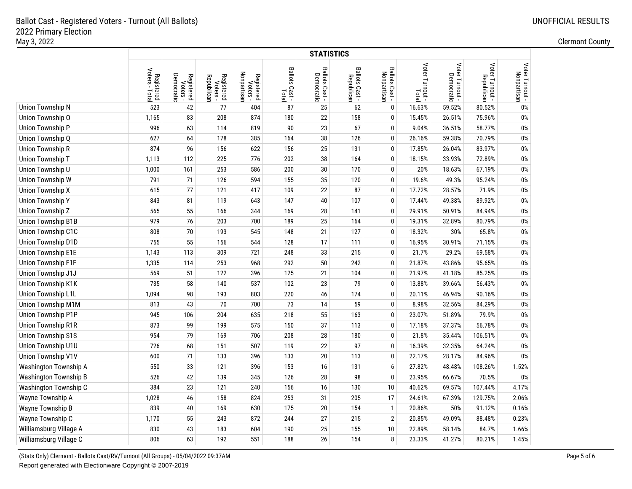|                              |                              | <b>STATISTICS</b>                    |                                      |                                       |                         |                              |                              |                               |                          |                                             |                               |                                |  |  |
|------------------------------|------------------------------|--------------------------------------|--------------------------------------|---------------------------------------|-------------------------|------------------------------|------------------------------|-------------------------------|--------------------------|---------------------------------------------|-------------------------------|--------------------------------|--|--|
|                              | Registered<br>Voters - Total | Democratic<br>Registered<br>Voters - | Registered<br>Voters -<br>Republican | Nonpartisan<br>Registered<br>Voters - | Ballots Cast -<br>Total | Ballots Cast -<br>Democratic | Ballots Cast -<br>Republican | Ballots Cast -<br>Nonpartisan | Voter Turnout -<br>Total | Voter Turnout -<br>Democratic<br>Democratic | Voter Turnout -<br>Republican | Voter Turnout -<br>Nonpartisan |  |  |
| Union Township N             | 523                          | 42                                   | 77                                   | 404                                   | 87                      | 25                           | 62                           | $\mathbf 0$                   | 16.63%                   | 59.52%                                      | 80.52%                        | 0%                             |  |  |
| Union Township O             | 1,165                        | 83                                   | 208                                  | 874                                   | 180                     | 22                           | 158                          | 0                             | 15.45%                   | 26.51%                                      | 75.96%                        | 0%                             |  |  |
| Union Township P             | 996                          | 63                                   | 114                                  | 819                                   | 90                      | 23                           | 67                           | 0                             | 9.04%                    | 36.51%                                      | 58.77%                        | 0%                             |  |  |
| Union Township Q             | 627                          | 64                                   | 178                                  | 385                                   | 164                     | 38                           | 126                          | 0                             | 26.16%                   | 59.38%                                      | 70.79%                        | 0%                             |  |  |
| <b>Union Township R</b>      | 874                          | 96                                   | 156                                  | 622                                   | 156                     | 25                           | 131                          | 0                             | 17.85%                   | 26.04%                                      | 83.97%                        | 0%                             |  |  |
| Union Township T             | 1,113                        | 112                                  | 225                                  | 776                                   | 202                     | 38                           | 164                          | 0                             | 18.15%                   | 33.93%                                      | 72.89%                        | $0\%$                          |  |  |
| Union Township U             | 1,000                        | 161                                  | 253                                  | 586                                   | 200                     | 30                           | 170                          | 0                             | 20%                      | 18.63%                                      | 67.19%                        | $0\%$                          |  |  |
| Union Township W             | 791                          | 71                                   | 126                                  | 594                                   | 155                     | 35                           | 120                          | 0                             | 19.6%                    | 49.3%                                       | 95.24%                        | $0\%$                          |  |  |
| <b>Union Township X</b>      | 615                          | 77                                   | 121                                  | 417                                   | 109                     | 22                           | 87                           | 0                             | 17.72%                   | 28.57%                                      | 71.9%                         | $0\%$                          |  |  |
| <b>Union Township Y</b>      | 843                          | 81                                   | 119                                  | 643                                   | 147                     | 40                           | 107                          | 0                             | 17.44%                   | 49.38%                                      | 89.92%                        | 0%                             |  |  |
| Union Township Z             | 565                          | 55                                   | 166                                  | 344                                   | 169                     | 28                           | 141                          | 0                             | 29.91%                   | 50.91%                                      | 84.94%                        | 0%                             |  |  |
| Union Township B1B           | 979                          | 76                                   | 203                                  | 700                                   | 189                     | 25                           | 164                          | 0                             | 19.31%                   | 32.89%                                      | 80.79%                        | 0%                             |  |  |
| Union Township C1C           | 808                          | $70$                                 | 193                                  | 545                                   | 148                     | 21                           | 127                          | 0                             | 18.32%                   | 30%                                         | 65.8%                         | 0%                             |  |  |
| Union Township D1D           | 755                          | 55                                   | 156                                  | 544                                   | 128                     | 17                           | 111                          | 0                             | 16.95%                   | 30.91%                                      | 71.15%                        | 0%                             |  |  |
| <b>Union Township E1E</b>    | 1,143                        | 113                                  | 309                                  | 721                                   | 248                     | 33                           | 215                          | 0                             | 21.7%                    | 29.2%                                       | 69.58%                        | $0\%$                          |  |  |
| <b>Union Township F1F</b>    | 1,335                        | 114                                  | 253                                  | 968                                   | 292                     | 50                           | 242                          | 0                             | 21.87%                   | 43.86%                                      | 95.65%                        | $0\%$                          |  |  |
| Union Township J1J           | 569                          | 51                                   | 122                                  | 396                                   | 125                     | 21                           | 104                          | 0                             | 21.97%                   | 41.18%                                      | 85.25%                        | $0\%$                          |  |  |
| Union Township K1K           | 735                          | 58                                   | 140                                  | 537                                   | 102                     | 23                           | 79                           | 0                             | 13.88%                   | 39.66%                                      | 56.43%                        | $0\%$                          |  |  |
| Union Township L1L           | 1,094                        | 98                                   | 193                                  | 803                                   | 220                     | 46                           | 174                          | 0                             | 20.11%                   | 46.94%                                      | 90.16%                        | $0\%$                          |  |  |
| Union Township M1M           | 813                          | 43                                   | 70                                   | 700                                   | 73                      | 14                           | 59                           | 0                             | 8.98%                    | 32.56%                                      | 84.29%                        | $0\%$                          |  |  |
| Union Township P1P           | 945                          | 106                                  | 204                                  | 635                                   | 218                     | 55                           | 163                          | 0                             | 23.07%                   | 51.89%                                      | 79.9%                         | 0%                             |  |  |
| <b>Union Township R1R</b>    | 873                          | 99                                   | 199                                  | 575                                   | 150                     | 37                           | 113                          | 0                             | 17.18%                   | 37.37%                                      | 56.78%                        | 0%                             |  |  |
| <b>Union Township S1S</b>    | 954                          | 79                                   | 169                                  | 706                                   | 208                     | 28                           | 180                          | 0                             | 21.8%                    | 35.44%                                      | 106.51%                       | 0%                             |  |  |
| Union Township U1U           | 726                          | 68                                   | 151                                  | 507                                   | 119                     | 22                           | 97                           | 0                             | 16.39%                   | 32.35%                                      | 64.24%                        | $0\%$                          |  |  |
| Union Township V1V           | 600                          | 71                                   | 133                                  | 396                                   | 133                     | 20                           | 113                          | 0                             | 22.17%                   | 28.17%                                      | 84.96%                        | 0%                             |  |  |
| Washington Township A        | 550                          | 33                                   | 121                                  | 396                                   | 153                     | 16                           | 131                          | 6                             | 27.82%                   | 48.48%                                      | 108.26%                       | 1.52%                          |  |  |
| <b>Washington Township B</b> | 526                          | 42                                   | 139                                  | 345                                   | 126                     | 28                           | 98                           | 0                             | 23.95%                   | 66.67%                                      | 70.5%                         | 0%                             |  |  |
| Washington Township C        | 384                          | 23                                   | 121                                  | 240                                   | 156                     | 16                           | 130                          | 10                            | 40.62%                   | 69.57%                                      | 107.44%                       | 4.17%                          |  |  |
| Wayne Township A             | 1,028                        | 46                                   | 158                                  | 824                                   | 253                     | 31                           | 205                          | 17                            | 24.61%                   | 67.39%                                      | 129.75%                       | 2.06%                          |  |  |
| Wayne Township B             | 839                          | $40\,$                               | 169                                  | 630                                   | 175                     | 20                           | 154                          | $\mathbf{1}$                  | 20.86%                   | 50%                                         | 91.12%                        | 0.16%                          |  |  |
| Wayne Township C             | 1,170                        | 55                                   | 243                                  | 872                                   | 244                     | 27                           | 215                          | $\overline{2}$                | 20.85%                   | 49.09%                                      | 88.48%                        | 0.23%                          |  |  |
| Williamsburg Village A       | 830                          | 43                                   | 183                                  | 604                                   | 190                     | 25                           | 155                          | 10                            | 22.89%                   | 58.14%                                      | 84.7%                         | 1.66%                          |  |  |
| Williamsburg Village C       | 806                          | 63                                   | 192                                  | 551                                   | 188                     | 26                           | 154                          | 8                             | 23.33%                   | 41.27%                                      | 80.21%                        | 1.45%                          |  |  |